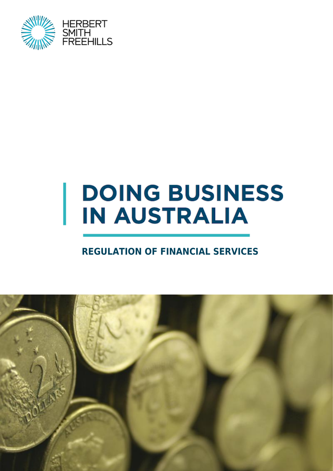

# **DOING BUSINESS IN AUSTRALIA**

### **REGULATION OF FINANCIAL SERVICES**

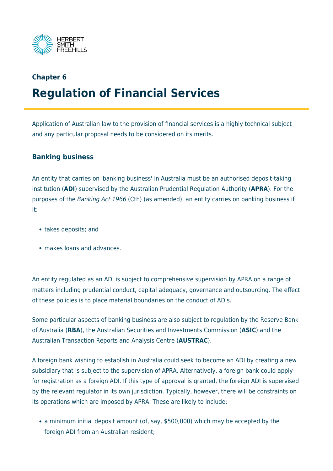

# **Chapter 6 Regulation of Financial Services**

Application of Australian law to the provision of financial services is a highly technical subject and any particular proposal needs to be considered on its merits.

#### **Banking business**

An entity that carries on 'banking business' in Australia must be an authorised deposit-taking institution (**ADI**) supervised by the Australian Prudential Regulation Authority (**APRA**). For the purposes of the Banking Act 1966 (Cth) (as amended), an entity carries on banking business if it:

- takes deposits; and
- makes loans and advances.

An entity regulated as an ADI is subject to comprehensive supervision by APRA on a range of matters including prudential conduct, capital adequacy, governance and outsourcing. The effect of these policies is to place material boundaries on the conduct of ADIs.

Some particular aspects of banking business are also subject to regulation by the Reserve Bank of Australia (**RBA**), the Australian Securities and Investments Commission (**ASIC**) and the Australian Transaction Reports and Analysis Centre (**AUSTRAC**).

A foreign bank wishing to establish in Australia could seek to become an ADI by creating a new subsidiary that is subject to the supervision of APRA. Alternatively, a foreign bank could apply for registration as a foreign ADI. If this type of approval is granted, the foreign ADI is supervised by the relevant regulator in its own jurisdiction. Typically, however, there will be constraints on its operations which are imposed by APRA. These are likely to include:

• a minimum initial deposit amount (of, say, \$500,000) which may be accepted by the foreign ADI from an Australian resident;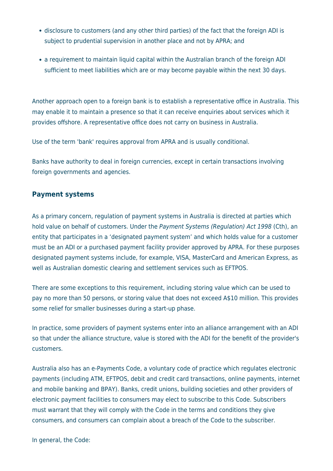- disclosure to customers (and any other third parties) of the fact that the foreign ADI is subject to prudential supervision in another place and not by APRA; and
- a requirement to maintain liquid capital within the Australian branch of the foreign ADI sufficient to meet liabilities which are or may become payable within the next 30 days.

Another approach open to a foreign bank is to establish a representative office in Australia. This may enable it to maintain a presence so that it can receive enquiries about services which it provides offshore. A representative office does not carry on business in Australia.

Use of the term 'bank' requires approval from APRA and is usually conditional.

Banks have authority to deal in foreign currencies, except in certain transactions involving foreign governments and agencies.

#### **Payment systems**

As a primary concern, regulation of payment systems in Australia is directed at parties which hold value on behalf of customers. Under the Payment Systems (Regulation) Act 1998 (Cth), an entity that participates in a 'designated payment system' and which holds value for a customer must be an ADI or a purchased payment facility provider approved by APRA. For these purposes designated payment systems include, for example, VISA, MasterCard and American Express, as well as Australian domestic clearing and settlement services such as EFTPOS.

There are some exceptions to this requirement, including storing value which can be used to pay no more than 50 persons, or storing value that does not exceed A\$10 million. This provides some relief for smaller businesses during a start-up phase.

In practice, some providers of payment systems enter into an alliance arrangement with an ADI so that under the alliance structure, value is stored with the ADI for the benefit of the provider's customers.

Australia also has an e-Payments Code, a voluntary code of practice which regulates electronic payments (including ATM, EFTPOS, debit and credit card transactions, online payments, internet and mobile banking and BPAY). Banks, credit unions, building societies and other providers of electronic payment facilities to consumers may elect to subscribe to this Code. Subscribers must warrant that they will comply with the Code in the terms and conditions they give consumers, and consumers can complain about a breach of the Code to the subscriber.

In general, the Code: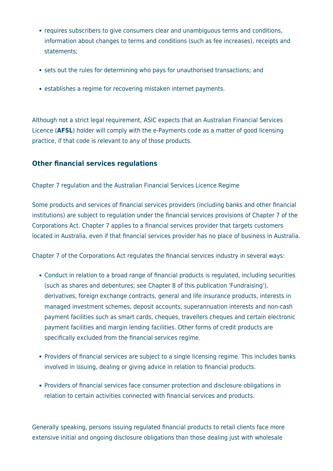- requires subscribers to give consumers clear and unambiguous terms and conditions, information about changes to terms and conditions (such as fee increases), receipts and statements;
- sets out the rules for determining who pays for unauthorised transactions; and
- establishes a regime for recovering mistaken internet payments.

Although not a strict legal requirement, ASIC expects that an Australian Financial Services Licence (**AFSL**) holder will comply with the e-Payments code as a matter of good licensing practice, if that code is relevant to any of those products.

#### **Other financial services regulations**

Chapter 7 regulation and the Australian Financial Services Licence Regime

Some products and services of financial services providers (including banks and other financial institutions) are subject to regulation under the financial services provisions of Chapter 7 of the Corporations Act. Chapter 7 applies to a financial services provider that targets customers located in Australia, even if that financial services provider has no place of business in Australia.

Chapter 7 of the Corporations Act regulates the financial services industry in several ways:

- Conduct in relation to a broad range of financial products is regulated, including securities (such as shares and debentures; see Chapter 8 of this publication 'Fundraising'), derivatives, foreign exchange contracts, general and life insurance products, interests in managed investment schemes, deposit accounts, superannuation interests and non-cash payment facilities such as smart cards, cheques, travellers cheques and certain electronic payment facilities and margin lending facilities. Other forms of credit products are specifically excluded from the financial services regime.
- Providers of financial services are subject to a single licensing regime. This includes banks involved in issuing, dealing or giving advice in relation to financial products.
- Providers of financial services face consumer protection and disclosure obligations in relation to certain activities connected with financial services and products.

Generally speaking, persons issuing regulated financial products to retail clients face more extensive initial and ongoing disclosure obligations than those dealing just with wholesale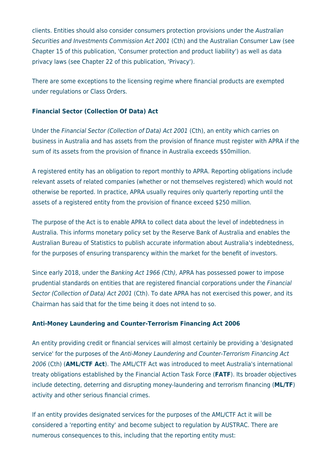clients. Entities should also consider consumers protection provisions under the Australian Securities and Investments Commission Act 2001 (Cth) and the Australian Consumer Law (see Chapter 15 of this publication, 'Consumer protection and product liability') as well as data privacy laws (see Chapter 22 of this publication, 'Privacy').

There are some exceptions to the licensing regime where financial products are exempted under regulations or Class Orders.

#### **Financial Sector (Collection Of Data) Act**

Under the Financial Sector (Collection of Data) Act 2001 (Cth), an entity which carries on business in Australia and has assets from the provision of finance must register with APRA if the sum of its assets from the provision of finance in Australia exceeds \$50million.

A registered entity has an obligation to report monthly to APRA. Reporting obligations include relevant assets of related companies (whether or not themselves registered) which would not otherwise be reported. In practice, APRA usually requires only quarterly reporting until the assets of a registered entity from the provision of finance exceed \$250 million.

The purpose of the Act is to enable APRA to collect data about the level of indebtedness in Australia. This informs monetary policy set by the Reserve Bank of Australia and enables the Australian Bureau of Statistics to publish accurate information about Australia's indebtedness, for the purposes of ensuring transparency within the market for the benefit of investors.

Since early 2018, under the Banking Act 1966 (Cth), APRA has possessed power to impose prudential standards on entities that are registered financial corporations under the Financial Sector (Collection of Data) Act 2001 (Cth). To date APRA has not exercised this power, and its Chairman has said that for the time being it does not intend to so.

#### **Anti-Money Laundering and Counter-Terrorism Financing Act 2006**

An entity providing credit or financial services will almost certainly be providing a 'designated service' for the purposes of the Anti-Money Laundering and Counter-Terrorism Financing Act 2006 (Cth) (**AML/CTF Act**). The AML/CTF Act was introduced to meet Australia's international treaty obligations established by the Financial Action Task Force (**FATF**). Its broader objectives include detecting, deterring and disrupting money-laundering and terrorism financing (**ML/TF**) activity and other serious financial crimes.

If an entity provides designated services for the purposes of the AML/CTF Act it will be considered a 'reporting entity' and become subject to regulation by AUSTRAC. There are numerous consequences to this, including that the reporting entity must: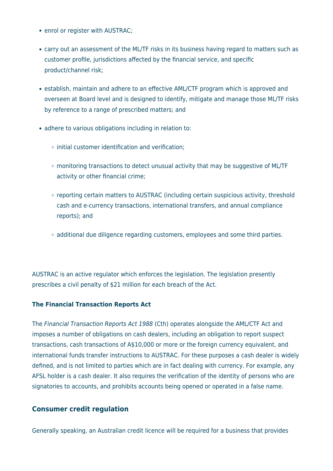- enrol or register with AUSTRAC;
- carry out an assessment of the ML/TF risks in its business having regard to matters such as customer profile, jurisdictions affected by the financial service, and specific product/channel risk;
- establish, maintain and adhere to an effective AML/CTF program which is approved and overseen at Board level and is designed to identify, mitigate and manage those ML/TF risks by reference to a range of prescribed matters; and
- adhere to various obligations including in relation to:
	- $\circ$  initial customer identification and verification;
	- $\circ$  monitoring transactions to detect unusual activity that may be suggestive of ML/TF activity or other financial crime;
	- reporting certain matters to AUSTRAC (including certain suspicious activity, threshold cash and e-currency transactions, international transfers, and annual compliance reports); and
	- additional due diligence regarding customers, employees and some third parties.

AUSTRAC is an active regulator which enforces the legislation. The legislation presently prescribes a civil penalty of \$21 million for each breach of the Act.

#### **The Financial Transaction Reports Act**

The Financial Transaction Reports Act 1988 (Cth) operates alongside the AML/CTF Act and imposes a number of obligations on cash dealers, including an obligation to report suspect transactions, cash transactions of A\$10,000 or more or the foreign currency equivalent, and international funds transfer instructions to AUSTRAC. For these purposes a cash dealer is widely defined, and is not limited to parties which are in fact dealing with currency. For example, any AFSL holder is a cash dealer. It also requires the verification of the identity of persons who are signatories to accounts, and prohibits accounts being opened or operated in a false name.

#### **Consumer credit regulation**

Generally speaking, an Australian credit licence will be required for a business that provides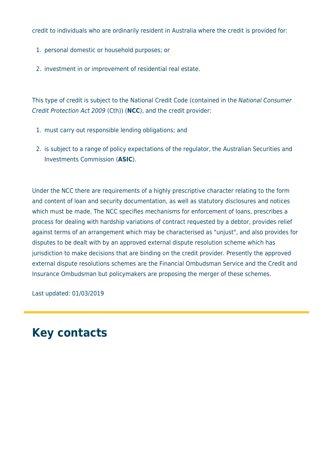credit to individuals who are ordinarily resident in Australia where the credit is provided for:

- 1. personal domestic or household purposes; or
- 2. investment in or improvement of residential real estate.

This type of credit is subject to the National Credit Code (contained in the National Consumer Credit Protection Act 2009 (Cth)) (**NCC**), and the credit provider:

- 1. must carry out responsible lending obligations; and
- 2. is subject to a range of policy expectations of the regulator, the Australian Securities and Investments Commission (**ASIC**).

Under the NCC there are requirements of a highly prescriptive character relating to the form and content of loan and security documentation, as well as statutory disclosures and notices which must be made. The NCC specifies mechanisms for enforcement of loans, prescribes a process for dealing with hardship variations of contract requested by a debtor, provides relief against terms of an arrangement which may be characterised as "unjust", and also provides for disputes to be dealt with by an approved external dispute resolution scheme which has jurisdiction to make decisions that are binding on the credit provider. Presently the approved external dispute resolutions schemes are the Financial Ombudsman Service and the Credit and Insurance Ombudsman but policymakers are proposing the merger of these schemes.

Last updated: 01/03/2019

## **Key contacts**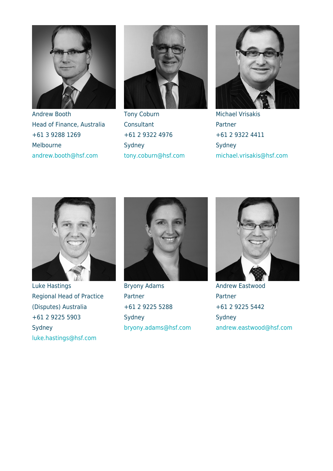

Andrew Booth Head of Finance, Australia +61 3 9288 1269 Melbourne [andrew.booth@hsf.com](mailto:andrew.booth@hsf.com)



Tony Coburn **Consultant** +61 2 9322 4976 Sydney [tony.coburn@hsf.com](mailto:tony.coburn@hsf.com)



Michael Vrisakis Partner +61 2 9322 4411 Sydney [michael.vrisakis@hsf.com](mailto:michael.vrisakis@hsf.com)



Luke Hastings Regional Head of Practice (Disputes) Australia +61 2 9225 5903 Sydney [luke.hastings@hsf.com](mailto:luke.hastings@hsf.com)



Bryony Adams Partner +61 2 9225 5288 Sydney [bryony.adams@hsf.com](mailto:bryony.adams@hsf.com)



Andrew Eastwood Partner +61 2 9225 5442 Sydney [andrew.eastwood@hsf.com](mailto:andrew.eastwood@hsf.com)